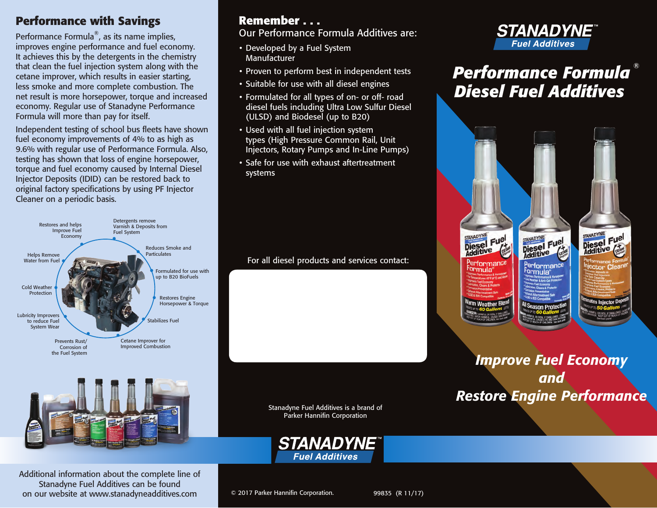#### **Performance with Savings**

Performance Formula®, as its name implies, improves engine performance and fuel economy. It achieves this by the detergents in the chemistry that clean the fuel injection system along with the cetane improver, which results in easier starting, less smoke and more complete combustion. The net result is more horsepower, torque and increased economy. Regular use of Stanadyne Performance Formula will more than pay for itself.

Independent testing of school bus fleets have shown fuel economy improvements of 4% to as high as 9.6% with regular use of Performance Formula. Also, testing has shown that loss of engine horsepower, torque and fuel economy caused by Internal Diesel Injector Deposits (IDID) can be restored back to original factory specifications by using PF Injector Cleaner on a periodic basis.





Additional information about the complete line of Stanadyne Fuel Additives can be found on our website at www.stanadyneadditives.com

#### **Remember . . .**

Our Performance Formula Additives are:

- Developed by a Fuel System **Manufacturer**
- Proven to perform best in independent tests
- Suitable for use with all diesel engines
- Formulated for all types of on- or off- road diesel fuels including Ultra Low Sulfur Diesel (ULSD) and Biodesel (up to B20)
- Used with all fuel injection system types (High Pressure Common Rail, Unit Injectors, Rotary Pumps and In-Line Pumps)
- Safe for use with exhaust aftertreatment systems

For all diesel products and services contact:

Stanadyne Fuel Additives is a brand of Parker Hannifin Corporation



© 2017 Parker Hannifin Corporation.



# *Performance Formula* ® *Diesel Fuel Additives*



STANADYNE

STANADYNE STANADYNE Diesel Fuel Diesel Fuel Performance

## *Improve Fuel Economy and Restore Engine Performance*

99835 (R 11/17)